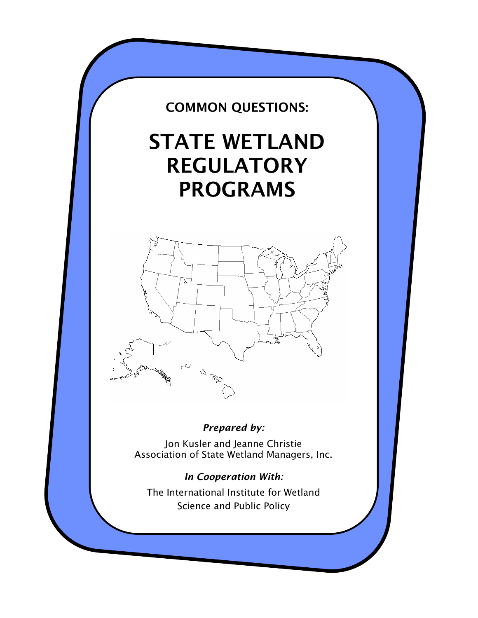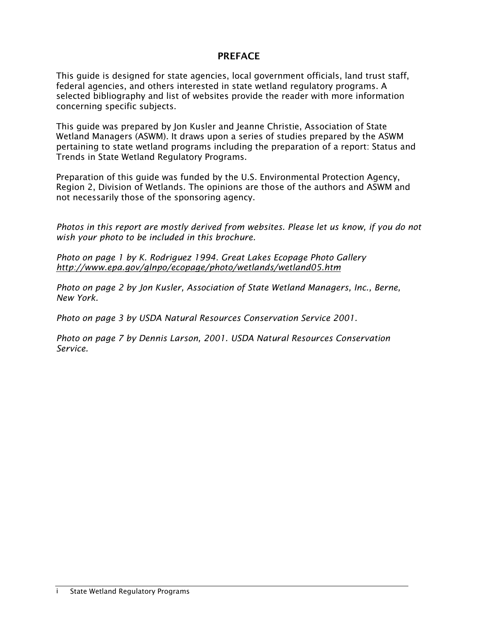# PREFACE

This guide is designed for state agencies, local government officials, land trust staff, federal agencies, and others interested in state wetland regulatory programs. A selected bibliography and list of websites provide the reader with more information concerning specific subjects.

This guide was prepared by Jon Kusler and Jeanne Christie, Association of State Wetland Managers (ASWM). It draws upon a series of studies prepared by the ASWM pertaining to state wetland programs including the preparation of a report: Status and Trends in State Wetland Regulatory Programs.

Preparation of this guide was funded by the U.S. Environmental Protection Agency, Region 2, Division of Wetlands. The opinions are those of the authors and ASWM and not necessarily those of the sponsoring agency.

*Photos in this report are mostly derived from websites. Please let us know, if you do not wish your photo to be included in this brochure.* 

*Photo on page 1 by K. Rodriguez 1994. Great Lakes Ecopage Photo Gallery http://www.epa.gov/glnpo/ecopage/photo/wetlands/wetland05.htm* 

*Photo on page 2 by Jon Kusler, Association of State Wetland Managers, Inc., Berne, New York.* 

*Photo on page 3 by USDA Natural Resources Conservation Service 2001.* 

*Photo on page 7 by Dennis Larson, 2001. USDA Natural Resources Conservation Service.*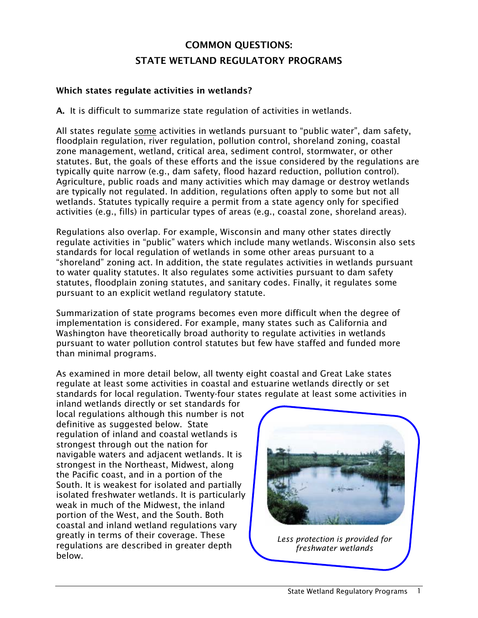# COMMON QUESTIONS: STATE WETLAND REGULATORY PROGRAMS

# Which states regulate activities in wetlands?

A. It is difficult to summarize state regulation of activities in wetlands.

All states regulate some activities in wetlands pursuant to "public water", dam safety, floodplain regulation, river regulation, pollution control, shoreland zoning, coastal zone management, wetland, critical area, sediment control, stormwater, or other statutes. But, the goals of these efforts and the issue considered by the regulations are typically quite narrow (e.g., dam safety, flood hazard reduction, pollution control). Agriculture, public roads and many activities which may damage or destroy wetlands are typically not regulated. In addition, regulations often apply to some but not all wetlands. Statutes typically require a permit from a state agency only for specified activities (e.g., fills) in particular types of areas (e.g., coastal zone, shoreland areas).

Regulations also overlap. For example, Wisconsin and many other states directly regulate activities in "public" waters which include many wetlands. Wisconsin also sets standards for local regulation of wetlands in some other areas pursuant to a "shoreland" zoning act. In addition, the state regulates activities in wetlands pursuant to water quality statutes. It also regulates some activities pursuant to dam safety statutes, floodplain zoning statutes, and sanitary codes. Finally, it regulates some pursuant to an explicit wetland regulatory statute.

Summarization of state programs becomes even more difficult when the degree of implementation is considered. For example, many states such as California and Washington have theoretically broad authority to regulate activities in wetlands pursuant to water pollution control statutes but few have staffed and funded more than minimal programs.

As examined in more detail below, all twenty eight coastal and Great Lake states regulate at least some activities in coastal and estuarine wetlands directly or set standards for local regulation. Twenty-four states regulate at least some activities in

inland wetlands directly or set standards for local regulations although this number is not definitive as suggested below. State regulation of inland and coastal wetlands is strongest through out the nation for navigable waters and adjacent wetlands. It is strongest in the Northeast, Midwest, along the Pacific coast, and in a portion of the South. It is weakest for isolated and partially isolated freshwater wetlands. It is particularly weak in much of the Midwest, the inland portion of the West, and the South. Both coastal and inland wetland regulations vary greatly in terms of their coverage. These regulations are described in greater depth below.



*Less protection is provided for freshwater wetlands*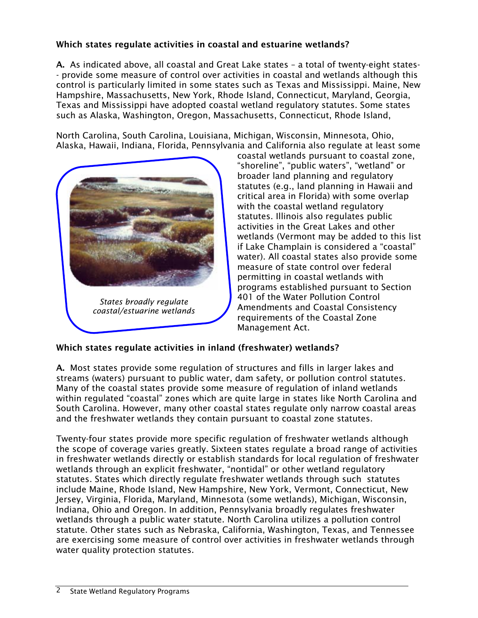# Which states regulate activities in coastal and estuarine wetlands?

A. As indicated above, all coastal and Great Lake states – a total of twenty-eight states- - provide some measure of control over activities in coastal and wetlands although this control is particularly limited in some states such as Texas and Mississippi. Maine, New Hampshire, Massachusetts, New York, Rhode Island, Connecticut, Maryland, Georgia, Texas and Mississippi have adopted coastal wetland regulatory statutes. Some states such as Alaska, Washington, Oregon, Massachusetts, Connecticut, Rhode Island,

North Carolina, South Carolina, Louisiana, Michigan, Wisconsin, Minnesota, Ohio, Alaska, Hawaii, Indiana, Florida, Pennsylvania and California also regulate at least some



coastal wetlands pursuant to coastal zone, "shoreline", "public waters", "wetland" or broader land planning and regulatory statutes (e.g., land planning in Hawaii and critical area in Florida) with some overlap with the coastal wetland regulatory statutes. Illinois also regulates public activities in the Great Lakes and other wetlands (Vermont may be added to this list if Lake Champlain is considered a "coastal" water). All coastal states also provide some measure of state control over federal permitting in coastal wetlands with programs established pursuant to Section 401 of the Water Pollution Control Amendments and Coastal Consistency requirements of the Coastal Zone Management Act.

### Which states regulate activities in inland (freshwater) wetlands?

A. Most states provide some regulation of structures and fills in larger lakes and streams (waters) pursuant to public water, dam safety, or pollution control statutes. Many of the coastal states provide some measure of regulation of inland wetlands within regulated "coastal" zones which are quite large in states like North Carolina and South Carolina. However, many other coastal states regulate only narrow coastal areas and the freshwater wetlands they contain pursuant to coastal zone statutes.

Twenty-four states provide more specific regulation of freshwater wetlands although the scope of coverage varies greatly. Sixteen states regulate a broad range of activities in freshwater wetlands directly or establish standards for local regulation of freshwater wetlands through an explicit freshwater, "nontidal" or other wetland regulatory statutes. States which directly regulate freshwater wetlands through such statutes include Maine, Rhode Island, New Hampshire, New York, Vermont, Connecticut, New Jersey, Virginia, Florida, Maryland, Minnesota (some wetlands), Michigan, Wisconsin, Indiana, Ohio and Oregon. In addition, Pennsylvania broadly regulates freshwater wetlands through a public water statute. North Carolina utilizes a pollution control statute. Other states such as Nebraska, California, Washington, Texas, and Tennessee are exercising some measure of control over activities in freshwater wetlands through water quality protection statutes.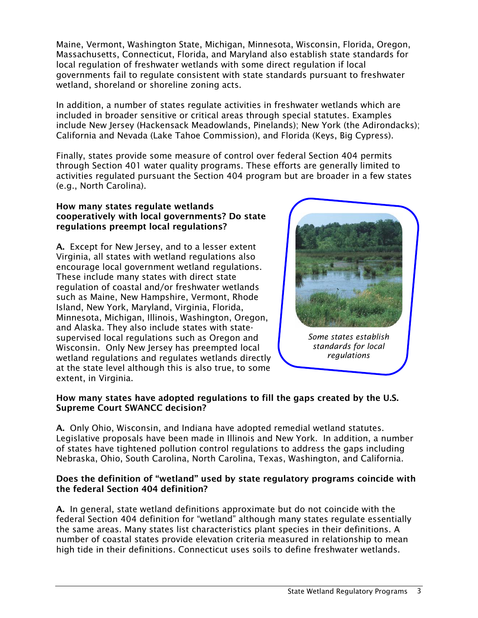Maine, Vermont, Washington State, Michigan, Minnesota, Wisconsin, Florida, Oregon, Massachusetts, Connecticut, Florida, and Maryland also establish state standards for local regulation of freshwater wetlands with some direct regulation if local governments fail to regulate consistent with state standards pursuant to freshwater wetland, shoreland or shoreline zoning acts.

In addition, a number of states regulate activities in freshwater wetlands which are included in broader sensitive or critical areas through special statutes. Examples include New Jersey (Hackensack Meadowlands, Pinelands); New York (the Adirondacks); California and Nevada (Lake Tahoe Commission), and Florida (Keys, Big Cypress).

Finally, states provide some measure of control over federal Section 404 permits through Section 401 water quality programs. These efforts are generally limited to activities regulated pursuant the Section 404 program but are broader in a few states (e.g., North Carolina).

#### How many states regulate wetlands cooperatively with local governments? Do state regulations preempt local regulations?

A. Except for New Jersey, and to a lesser extent Virginia, all states with wetland regulations also encourage local government wetland regulations. These include many states with direct state regulation of coastal and/or freshwater wetlands such as Maine, New Hampshire, Vermont, Rhode Island, New York, Maryland, Virginia, Florida, Minnesota, Michigan, Illinois, Washington, Oregon, and Alaska. They also include states with statesupervised local regulations such as Oregon and Wisconsin. Only New Jersey has preempted local wetland regulations and regulates wetlands directly at the state level although this is also true, to some extent, in Virginia.



#### How many states have adopted regulations to fill the gaps created by the U.S. Supreme Court SWANCC decision?

A. Only Ohio, Wisconsin, and Indiana have adopted remedial wetland statutes. Legislative proposals have been made in Illinois and New York. In addition, a number of states have tightened pollution control regulations to address the gaps including Nebraska, Ohio, South Carolina, North Carolina, Texas, Washington, and California.

#### Does the definition of "wetland" used by state regulatory programs coincide with the federal Section 404 definition?

A. In general, state wetland definitions approximate but do not coincide with the federal Section 404 definition for "wetland" although many states regulate essentially the same areas. Many states list characteristics plant species in their definitions. A number of coastal states provide elevation criteria measured in relationship to mean high tide in their definitions. Connecticut uses soils to define freshwater wetlands.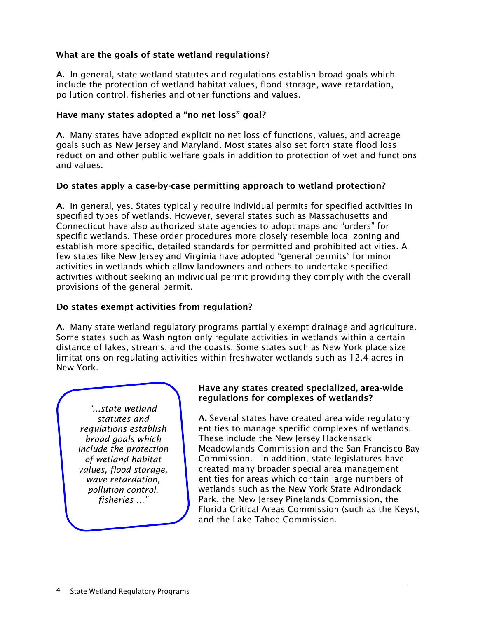# What are the goals of state wetland regulations?

A. In general, state wetland statutes and regulations establish broad goals which include the protection of wetland habitat values, flood storage, wave retardation, pollution control, fisheries and other functions and values.

# Have many states adopted a "no net loss" goal?

A. Many states have adopted explicit no net loss of functions, values, and acreage goals such as New Jersey and Maryland. Most states also set forth state flood loss reduction and other public welfare goals in addition to protection of wetland functions and values.

### Do states apply a case-by-case permitting approach to wetland protection?

A. In general, yes. States typically require individual permits for specified activities in specified types of wetlands. However, several states such as Massachusetts and Connecticut have also authorized state agencies to adopt maps and "orders" for specific wetlands. These order procedures more closely resemble local zoning and establish more specific, detailed standards for permitted and prohibited activities. A few states like New Jersey and Virginia have adopted "general permits" for minor activities in wetlands which allow landowners and others to undertake specified activities without seeking an individual permit providing they comply with the overall provisions of the general permit.

# Do states exempt activities from regulation?

A. Many state wetland regulatory programs partially exempt drainage and agriculture. Some states such as Washington only regulate activities in wetlands within a certain distance of lakes, streams, and the coasts. Some states such as New York place size limitations on regulating activities within freshwater wetlands such as 12.4 acres in New York.

*"...state wetland statutes and regulations establish broad goals which include the protection of wetland habitat values, flood storage, wave retardation, pollution control, fisheries …"*

### Have any states created specialized, area-wide regulations for complexes of wetlands?

A. Several states have created area wide regulatory entities to manage specific complexes of wetlands. These include the New Jersey Hackensack Meadowlands Commission and the San Francisco Bay Commission. In addition, state legislatures have created many broader special area management entities for areas which contain large numbers of wetlands such as the New York State Adirondack Park, the New Jersey Pinelands Commission, the Florida Critical Areas Commission (such as the Keys), and the Lake Tahoe Commission.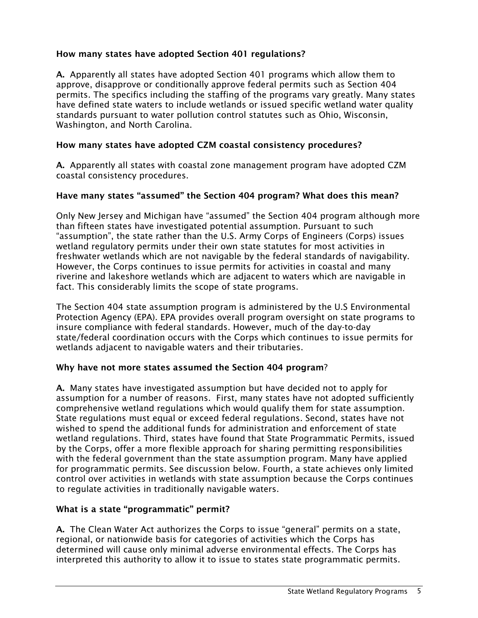# How many states have adopted Section 401 regulations?

A. Apparently all states have adopted Section 401 programs which allow them to approve, disapprove or conditionally approve federal permits such as Section 404 permits. The specifics including the staffing of the programs vary greatly. Many states have defined state waters to include wetlands or issued specific wetland water quality standards pursuant to water pollution control statutes such as Ohio, Wisconsin, Washington, and North Carolina.

## How many states have adopted CZM coastal consistency procedures?

A. Apparently all states with coastal zone management program have adopted CZM coastal consistency procedures.

### Have many states "assumed" the Section 404 program? What does this mean?

Only New Jersey and Michigan have "assumed" the Section 404 program although more than fifteen states have investigated potential assumption. Pursuant to such "assumption", the state rather than the U.S. Army Corps of Engineers (Corps) issues wetland regulatory permits under their own state statutes for most activities in freshwater wetlands which are not navigable by the federal standards of navigability. However, the Corps continues to issue permits for activities in coastal and many riverine and lakeshore wetlands which are adjacent to waters which are navigable in fact. This considerably limits the scope of state programs.

The Section 404 state assumption program is administered by the U.S Environmental Protection Agency (EPA). EPA provides overall program oversight on state programs to insure compliance with federal standards. However, much of the day-to-day state/federal coordination occurs with the Corps which continues to issue permits for wetlands adjacent to navigable waters and their tributaries.

### Why have not more states assumed the Section 404 program?

A. Many states have investigated assumption but have decided not to apply for assumption for a number of reasons. First, many states have not adopted sufficiently comprehensive wetland regulations which would qualify them for state assumption. State regulations must equal or exceed federal regulations. Second, states have not wished to spend the additional funds for administration and enforcement of state wetland regulations. Third, states have found that State Programmatic Permits, issued by the Corps, offer a more flexible approach for sharing permitting responsibilities with the federal government than the state assumption program. Many have applied for programmatic permits. See discussion below. Fourth, a state achieves only limited control over activities in wetlands with state assumption because the Corps continues to regulate activities in traditionally navigable waters.

### What is a state "programmatic" permit?

A. The Clean Water Act authorizes the Corps to issue "general" permits on a state, regional, or nationwide basis for categories of activities which the Corps has determined will cause only minimal adverse environmental effects. The Corps has interpreted this authority to allow it to issue to states state programmatic permits.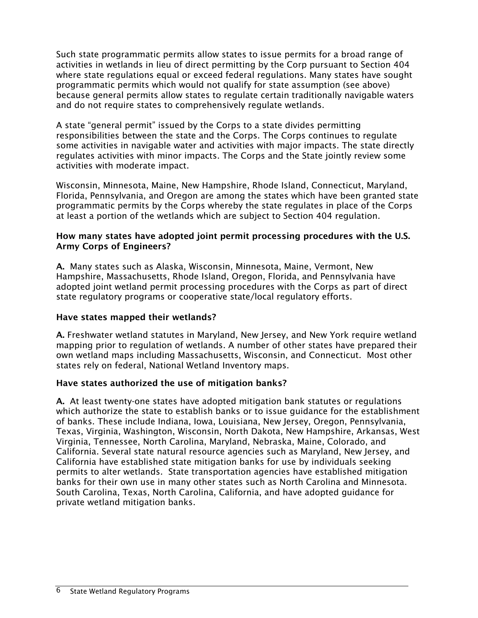Such state programmatic permits allow states to issue permits for a broad range of activities in wetlands in lieu of direct permitting by the Corp pursuant to Section 404 where state regulations equal or exceed federal regulations. Many states have sought programmatic permits which would not qualify for state assumption (see above) because general permits allow states to regulate certain traditionally navigable waters and do not require states to comprehensively regulate wetlands.

A state "general permit" issued by the Corps to a state divides permitting responsibilities between the state and the Corps. The Corps continues to regulate some activities in navigable water and activities with major impacts. The state directly regulates activities with minor impacts. The Corps and the State jointly review some activities with moderate impact.

Wisconsin, Minnesota, Maine, New Hampshire, Rhode Island, Connecticut, Maryland, Florida, Pennsylvania, and Oregon are among the states which have been granted state programmatic permits by the Corps whereby the state regulates in place of the Corps at least a portion of the wetlands which are subject to Section 404 regulation.

#### How many states have adopted joint permit processing procedures with the U.S. Army Corps of Engineers?

A. Many states such as Alaska, Wisconsin, Minnesota, Maine, Vermont, New Hampshire, Massachusetts, Rhode Island, Oregon, Florida, and Pennsylvania have adopted joint wetland permit processing procedures with the Corps as part of direct state regulatory programs or cooperative state/local regulatory efforts.

### Have states mapped their wetlands?

A. Freshwater wetland statutes in Maryland, New Jersey, and New York require wetland mapping prior to regulation of wetlands. A number of other states have prepared their own wetland maps including Massachusetts, Wisconsin, and Connecticut. Most other states rely on federal, National Wetland Inventory maps.

### Have states authorized the use of mitigation banks?

A. At least twenty-one states have adopted mitigation bank statutes or regulations which authorize the state to establish banks or to issue guidance for the establishment of banks. These include Indiana, Iowa, Louisiana, New Jersey, Oregon, Pennsylvania, Texas, Virginia, Washington, Wisconsin, North Dakota, New Hampshire, Arkansas, West Virginia, Tennessee, North Carolina, Maryland, Nebraska, Maine, Colorado, and California. Several state natural resource agencies such as Maryland, New Jersey, and California have established state mitigation banks for use by individuals seeking permits to alter wetlands. State transportation agencies have established mitigation banks for their own use in many other states such as North Carolina and Minnesota. South Carolina, Texas, North Carolina, California, and have adopted guidance for private wetland mitigation banks.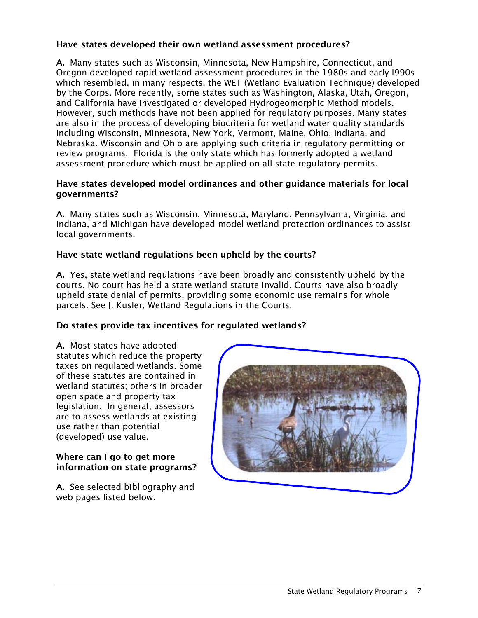## Have states developed their own wetland assessment procedures?

A. Many states such as Wisconsin, Minnesota, New Hampshire, Connecticut, and Oregon developed rapid wetland assessment procedures in the 1980s and early l990s which resembled, in many respects, the WET (Wetland Evaluation Technique) developed by the Corps. More recently, some states such as Washington, Alaska, Utah, Oregon, and California have investigated or developed Hydrogeomorphic Method models. However, such methods have not been applied for regulatory purposes. Many states are also in the process of developing biocriteria for wetland water quality standards including Wisconsin, Minnesota, New York, Vermont, Maine, Ohio, Indiana, and Nebraska. Wisconsin and Ohio are applying such criteria in regulatory permitting or review programs. Florida is the only state which has formerly adopted a wetland assessment procedure which must be applied on all state regulatory permits.

#### Have states developed model ordinances and other guidance materials for local governments?

A. Many states such as Wisconsin, Minnesota, Maryland, Pennsylvania, Virginia, and Indiana, and Michigan have developed model wetland protection ordinances to assist local governments.

### Have state wetland regulations been upheld by the courts?

A. Yes, state wetland regulations have been broadly and consistently upheld by the courts. No court has held a state wetland statute invalid. Courts have also broadly upheld state denial of permits, providing some economic use remains for whole parcels. See J. Kusler, Wetland Regulations in the Courts.

### Do states provide tax incentives for regulated wetlands?

A. Most states have adopted statutes which reduce the property taxes on regulated wetlands. Some of these statutes are contained in wetland statutes; others in broader open space and property tax legislation. In general, assessors are to assess wetlands at existing use rather than potential (developed) use value.

#### Where can I go to get more information on state programs?

A. See selected bibliography and web pages listed below.

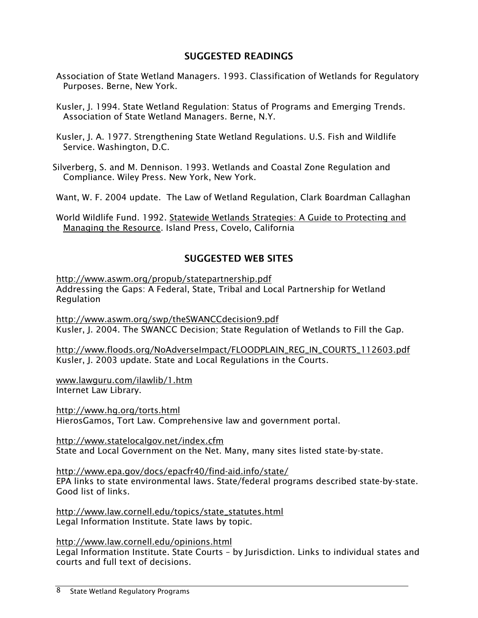# SUGGESTED READINGS

- Association of State Wetland Managers. 1993. Classification of Wetlands for Regulatory Purposes. Berne, New York.
- Kusler, J. 1994. State Wetland Regulation: Status of Programs and Emerging Trends. Association of State Wetland Managers. Berne, N.Y.
- Kusler, J. A. 1977. Strengthening State Wetland Regulations. U.S. Fish and Wildlife Service. Washington, D.C.
- Silverberg, S. and M. Dennison. 1993. Wetlands and Coastal Zone Regulation and Compliance. Wiley Press. New York, New York.
- Want, W. F. 2004 update. The Law of Wetland Regulation, Clark Boardman Callaghan
- World Wildlife Fund. 1992. Statewide Wetlands Strategies: A Guide to Protecting and Managing the Resource. Island Press, Covelo, California

# SUGGESTED WEB SITES

http://www.aswm.org/propub/statepartnership.pdf Addressing the Gaps: A Federal, State, Tribal and Local Partnership for Wetland Regulation

http://www.aswm.org/swp/theSWANCCdecision9.pdf Kusler, J. 2004. The SWANCC Decision; State Regulation of Wetlands to Fill the Gap.

http://www.floods.org/NoAdverseImpact/FLOODPLAIN\_REG\_IN\_COURTS\_112603.pdf Kusler, J. 2003 update. State and Local Regulations in the Courts.

www.lawguru.com/ilawlib/1.htm Internet Law Library.

http://www.hg.org/torts.html HierosGamos, Tort Law. Comprehensive law and government portal.

http://www.statelocalgov.net/index.cfm State and Local Government on the Net. Many, many sites listed state-by-state.

http://www.epa.gov/docs/epacfr40/find-aid.info/state/ EPA links to state environmental laws. State/federal programs described state-by-state. Good list of links.

http://www.law.cornell.edu/topics/state\_statutes.html Legal Information Institute. State laws by topic.

http://www.law.cornell.edu/opinions.html Legal Information Institute. State Courts – by Jurisdiction. Links to individual states and courts and full text of decisions.